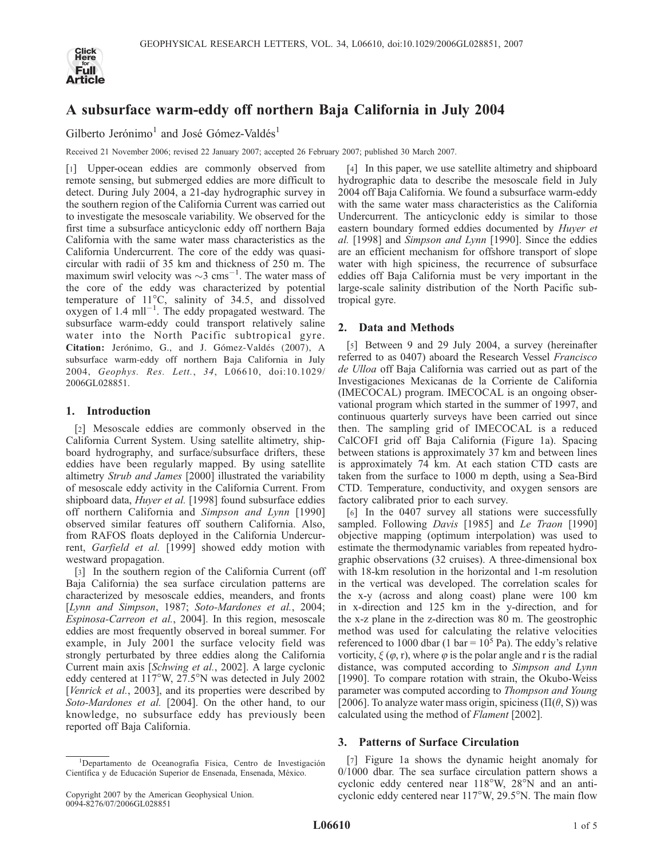

# A subsurface warm-eddy off northern Baja California in July 2004

Gilberto Jerónimo<sup>1</sup> and José Gómez-Valdés<sup>1</sup>

Received 21 November 2006; revised 22 January 2007; accepted 26 February 2007; published 30 March 2007.

[1] Upper-ocean eddies are commonly observed from remote sensing, but submerged eddies are more difficult to detect. During July 2004, a 21-day hydrographic survey in the southern region of the California Current was carried out to investigate the mesoscale variability. We observed for the first time a subsurface anticyclonic eddy off northern Baja California with the same water mass characteristics as the California Undercurrent. The core of the eddy was quasicircular with radii of 35 km and thickness of 250 m. The maximum swirl velocity was  $\sim$ 3 cms<sup>-1</sup>. The water mass of the core of the eddy was characterized by potential temperature of  $11^{\circ}$ C, salinity of 34.5, and dissolved oxygen of  $1.4 \text{ mill}^{-1}$ . The eddy propagated westward. The subsurface warm-eddy could transport relatively saline water into the North Pacific subtropical gyre. Citation: Jerónimo, G., and J. Gómez-Valdés (2007), A subsurface warm-eddy off northern Baja California in July 2004, Geophys. Res. Lett., 34, L06610, doi:10.1029/ 2006GL028851.

## 1. Introduction

[2] Mesoscale eddies are commonly observed in the California Current System. Using satellite altimetry, shipboard hydrography, and surface/subsurface drifters, these eddies have been regularly mapped. By using satellite altimetry Strub and James [2000] illustrated the variability of mesoscale eddy activity in the California Current. From shipboard data, *Huyer et al.* [1998] found subsurface eddies off northern California and Simpson and Lynn [1990] observed similar features off southern California. Also, from RAFOS floats deployed in the California Undercurrent, Garfield et al. [1999] showed eddy motion with westward propagation.

[3] In the southern region of the California Current (off Baja California) the sea surface circulation patterns are characterized by mesoscale eddies, meanders, and fronts [Lynn and Simpson, 1987; Soto-Mardones et al., 2004; Espinosa-Carreon et al., 2004]. In this region, mesoscale eddies are most frequently observed in boreal summer. For example, in July 2001 the surface velocity field was strongly perturbated by three eddies along the California Current main axis [Schwing et al., 2002]. A large cyclonic eddy centered at 117°W, 27.5°N was detected in July 2002 [Venrick et al., 2003], and its properties were described by Soto-Mardones et al. [2004]. On the other hand, to our knowledge, no subsurface eddy has previously been reported off Baja California.

[4] In this paper, we use satellite altimetry and shipboard hydrographic data to describe the mesoscale field in July 2004 off Baja California. We found a subsurface warm-eddy with the same water mass characteristics as the California Undercurrent. The anticyclonic eddy is similar to those eastern boundary formed eddies documented by Huyer et al. [1998] and Simpson and Lynn [1990]. Since the eddies are an efficient mechanism for offshore transport of slope water with high spiciness, the recurrence of subsurface eddies off Baja California must be very important in the large-scale salinity distribution of the North Pacific subtropical gyre.

## 2. Data and Methods

[5] Between 9 and 29 July 2004, a survey (hereinafter referred to as 0407) aboard the Research Vessel Francisco de Ulloa off Baja California was carried out as part of the Investigaciones Mexicanas de la Corriente de California (IMECOCAL) program. IMECOCAL is an ongoing observational program which started in the summer of 1997, and continuous quarterly surveys have been carried out since then. The sampling grid of IMECOCAL is a reduced CalCOFI grid off Baja California (Figure 1a). Spacing between stations is approximately 37 km and between lines is approximately 74 km. At each station CTD casts are taken from the surface to 1000 m depth, using a Sea-Bird CTD. Temperature, conductivity, and oxygen sensors are factory calibrated prior to each survey.

[6] In the 0407 survey all stations were successfully sampled. Following Davis [1985] and Le Traon [1990] objective mapping (optimum interpolation) was used to estimate the thermodynamic variables from repeated hydrographic observations (32 cruises). A three-dimensional box with 18-km resolution in the horizontal and 1-m resolution in the vertical was developed. The correlation scales for the x-y (across and along coast) plane were 100 km in x-direction and 125 km in the y-direction, and for the x-z plane in the z-direction was 80 m. The geostrophic method was used for calculating the relative velocities referenced to 1000 dbar (1 bar =  $10^5$  Pa). The eddy's relative vorticity,  $\xi(\varphi, r)$ , where  $\varphi$  is the polar angle and r is the radial distance, was computed according to Simpson and Lynn [1990]. To compare rotation with strain, the Okubo-Weiss parameter was computed according to Thompson and Young [2006]. To analyze water mass origin, spiciness ( $\Pi(\theta, S)$ ) was calculated using the method of Flament [2002].

## 3. Patterns of Surface Circulation

[7] Figure 1a shows the dynamic height anomaly for 0/1000 dbar. The sea surface circulation pattern shows a cyclonic eddy centered near  $118^{\circ}$ W,  $28^{\circ}$ N and an anticyclonic eddy centered near  $117^{\circ}$ W, 29.5°N. The main flow

<sup>&</sup>lt;sup>1</sup>Departamento de Oceanografia Fisica, Centro de Investigación Científica y de Educación Superior de Ensenada, Ensenada, México.

Copyright 2007 by the American Geophysical Union. 0094-8276/07/2006GL028851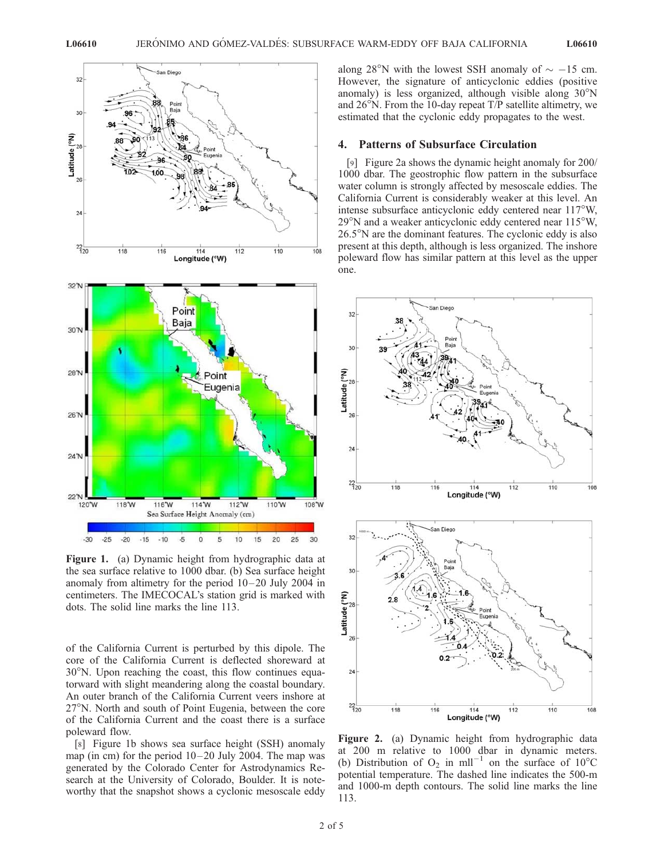

Figure 1. (a) Dynamic height from hydrographic data at the sea surface relative to 1000 dbar. (b) Sea surface height anomaly from altimetry for the period  $10-20$  July 2004 in centimeters. The IMECOCAL's station grid is marked with dots. The solid line marks the line 113.

of the California Current is perturbed by this dipole. The core of the California Current is deflected shoreward at  $30^{\circ}$ N. Upon reaching the coast, this flow continues equatorward with slight meandering along the coastal boundary. An outer branch of the California Current veers inshore at  $27^\circ$ N. North and south of Point Eugenia, between the core of the California Current and the coast there is a surface poleward flow.

[8] Figure 1b shows sea surface height (SSH) anomaly map (in cm) for the period  $10-20$  July 2004. The map was generated by the Colorado Center for Astrodynamics Research at the University of Colorado, Boulder. It is noteworthy that the snapshot shows a cyclonic mesoscale eddy

along 28°N with the lowest SSH anomaly of  $\sim -15$  cm. However, the signature of anticyclonic eddies (positive anomaly) is less organized, although visible along  $30^{\circ}$ N and  $26^{\circ}$ N. From the 10-day repeat T/P satellite altimetry, we estimated that the cyclonic eddy propagates to the west.

#### 4. Patterns of Subsurface Circulation

[9] Figure 2a shows the dynamic height anomaly for 200/ 1000 dbar. The geostrophic flow pattern in the subsurface water column is strongly affected by mesoscale eddies. The California Current is considerably weaker at this level. An intense subsurface anticyclonic eddy centered near  $117^{\circ}$ W,  $29^{\circ}$ N and a weaker anticyclonic eddy centered near 115 $^{\circ}$ W,  $26.5^{\circ}$ N are the dominant features. The cyclonic eddy is also present at this depth, although is less organized. The inshore poleward flow has similar pattern at this level as the upper one.



Figure 2. (a) Dynamic height from hydrographic data at 200 m relative to 1000 dbar in dynamic meters. (b) Distribution of  $O_2$  in mll<sup>-1</sup> on the surface of 10<sup>o</sup>C potential temperature. The dashed line indicates the 500-m and 1000-m depth contours. The solid line marks the line 113.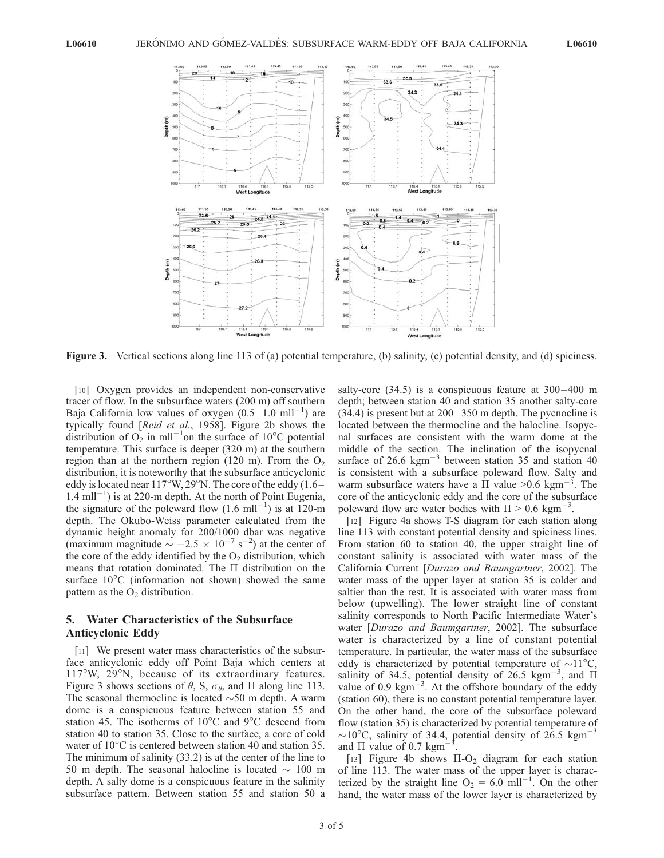

Figure 3. Vertical sections along line 113 of (a) potential temperature, (b) salinity, (c) potential density, and (d) spiciness.

[10] Oxygen provides an independent non-conservative tracer of flow. In the subsurface waters (200 m) off southern Baja California low values of oxygen  $(0.5-1.0 \text{ ml}^{-1})$  are typically found [Reid et al., 1958]. Figure 2b shows the distribution of  $O_2$  in mll<sup>-1</sup>on the surface of 10°C potential temperature. This surface is deeper (320 m) at the southern region than at the northern region (120 m). From the  $O<sub>2</sub>$ distribution, it is noteworthy that the subsurface anticyclonic eddy is located near  $117^{\circ}$ W,  $29^{\circ}$ N. The core of the eddy (1.6 –  $1.4 \text{ mil}^{-1}$ ) is at 220-m depth. At the north of Point Eugenia, the signature of the poleward flow  $(1.6 \text{ mll}^{-1})$  is at 120-m depth. The Okubo-Weiss parameter calculated from the dynamic height anomaly for 200/1000 dbar was negative (maximum magnitude  $\sim -2.5 \times 10^{-7}$  s<sup>-2</sup>) at the center of the core of the eddy identified by the  $O<sub>2</sub>$  distribution, which means that rotation dominated. The  $\Pi$  distribution on the surface  $10^{\circ}$ C (information not shown) showed the same pattern as the  $O<sub>2</sub>$  distribution.

## 5. Water Characteristics of the Subsurface Anticyclonic Eddy

[11] We present water mass characteristics of the subsurface anticyclonic eddy off Point Baja which centers at  $117^{\circ}$ W,  $29^{\circ}$ N, because of its extraordinary features. Figure 3 shows sections of  $\theta$ , S,  $\sigma_{\theta}$ , and  $\Pi$  along line 113. The seasonal thermocline is located  $\sim$  50 m depth. A warm dome is a conspicuous feature between station 55 and station 45. The isotherms of  $10^{\circ}$ C and  $9^{\circ}$ C descend from station 40 to station 35. Close to the surface, a core of cold water of  $10^{\circ}$ C is centered between station 40 and station 35. The minimum of salinity (33.2) is at the center of the line to 50 m depth. The seasonal halocline is located  $\sim 100$  m depth. A salty dome is a conspicuous feature in the salinity subsurface pattern. Between station 55 and station 50 a salty-core  $(34.5)$  is a conspicuous feature at  $300-400$  m depth; between station 40 and station 35 another salty-core  $(34.4)$  is present but at  $200-350$  m depth. The pycnocline is located between the thermocline and the halocline. Isopycnal surfaces are consistent with the warm dome at the middle of the section. The inclination of the isopycnal surface of  $26.6 \text{ kgm}^{-3}$  between station 35 and station 40 is consistent with a subsurface poleward flow. Salty and warm subsurface waters have a  $\overline{II}$  value >0.6 kgm<sup>-3</sup>. The core of the anticyclonic eddy and the core of the subsurface poleward flow are water bodies with  $\Pi > 0.6$  kgm<sup>-3</sup>.

[12] Figure 4a shows T-S diagram for each station along line 113 with constant potential density and spiciness lines. From station 60 to station 40, the upper straight line of constant salinity is associated with water mass of the California Current [Durazo and Baumgartner, 2002]. The water mass of the upper layer at station 35 is colder and saltier than the rest. It is associated with water mass from below (upwelling). The lower straight line of constant salinity corresponds to North Pacific Intermediate Water's water [Durazo and Baumgartner, 2002]. The subsurface water is characterized by a line of constant potential temperature. In particular, the water mass of the subsurface eddy is characterized by potential temperature of  $\sim$ 11<sup>o</sup>C, salinity of 34.5, potential density of  $26.5 \text{ kgm}^{-3}$ , and  $\Pi$ value of  $0.9 \text{ kgm}^{-3}$ . At the offshore boundary of the eddy (station 60), there is no constant potential temperature layer. On the other hand, the core of the subsurface poleward flow (station 35) is characterized by potential temperature of  $\sim$ 10<sup>o</sup>C, salinity of 34.4, potential density of 26.5 kgm<sup>-3</sup> and  $\Pi$  value of 0.7 kgm<sup>-</sup> 3 .

[13] Figure 4b shows  $\Pi$ -O<sub>2</sub> diagram for each station of line 113. The water mass of the upper layer is characterized by the straight line  $O_2 = 6.0 \text{ mll}^{-1}$ . On the other hand, the water mass of the lower layer is characterized by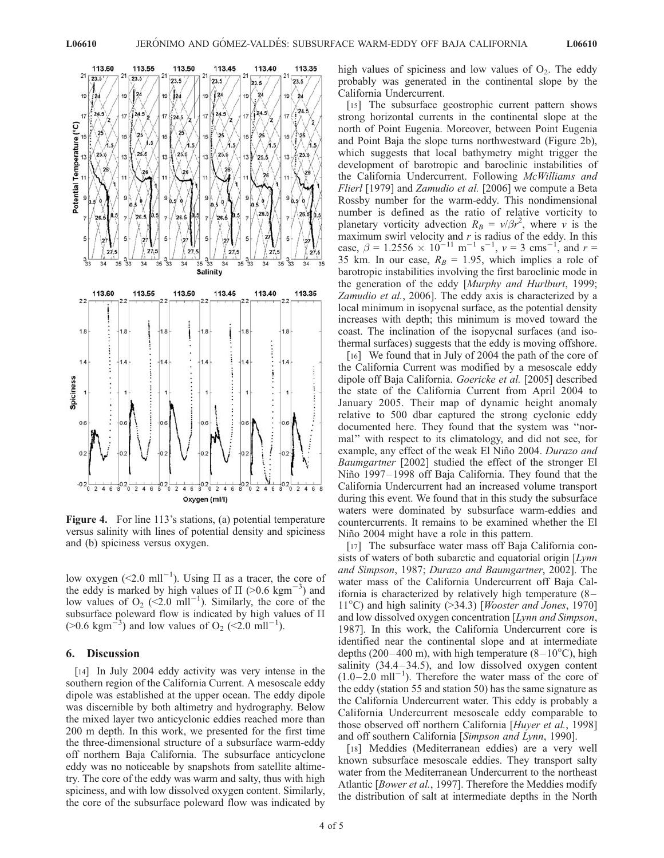

Figure 4. For line 113's stations, (a) potential temperature versus salinity with lines of potential density and spiciness and (b) spiciness versus oxygen.

low oxygen (<2.0 mll<sup>-1</sup>). Using  $\Pi$  as a tracer, the core of the eddy is marked by high values of  $\Pi$  (>0.6 kgm<sup>-3</sup>) and low values of  $O_2$  (<2.0 mll<sup>-1</sup>). Similarly, the core of the subsurface poleward flow is indicated by high values of  $\Pi$  $(>0.6 \text{ kgm}^{-3})$  and low values of O<sub>2</sub> (<2.0 mll<sup>-1</sup>).

#### 6. Discussion

[14] In July 2004 eddy activity was very intense in the southern region of the California Current. A mesoscale eddy dipole was established at the upper ocean. The eddy dipole was discernible by both altimetry and hydrography. Below the mixed layer two anticyclonic eddies reached more than 200 m depth. In this work, we presented for the first time the three-dimensional structure of a subsurface warm-eddy off northern Baja California. The subsurface anticyclone eddy was no noticeable by snapshots from satellite altimetry. The core of the eddy was warm and salty, thus with high spiciness, and with low dissolved oxygen content. Similarly, the core of the subsurface poleward flow was indicated by high values of spiciness and low values of  $O_2$ . The eddy probably was generated in the continental slope by the California Undercurrent.

[15] The subsurface geostrophic current pattern shows strong horizontal currents in the continental slope at the north of Point Eugenia. Moreover, between Point Eugenia and Point Baja the slope turns northwestward (Figure 2b), which suggests that local bathymetry might trigger the development of barotropic and baroclinic instabilities of the California Undercurrent. Following McWilliams and Flierl [1979] and Zamudio et al. [2006] we compute a Beta Rossby number for the warm-eddy. This nondimensional number is defined as the ratio of relative vorticity to planetary vorticity advection  $R_B = v/\beta r^2$ , where v is the maximum swirl velocity and  $r$  is radius of the eddy. In this case,  $\beta = 1.2556 \times 10^{-11} \text{ m}^{-1} \text{ s}^{-1}$ ,  $v = 3 \text{ cms}^{-1}$ , and  $r =$ 35 km. In our case,  $R_B = 1.95$ , which implies a role of barotropic instabilities involving the first baroclinic mode in the generation of the eddy [Murphy and Hurlburt, 1999; Zamudio et al., 2006]. The eddy axis is characterized by a local minimum in isopycnal surface, as the potential density increases with depth; this minimum is moved toward the coast. The inclination of the isopycnal surfaces (and isothermal surfaces) suggests that the eddy is moving offshore.

[16] We found that in July of 2004 the path of the core of the California Current was modified by a mesoscale eddy dipole off Baja California. Goericke et al. [2005] described the state of the California Current from April 2004 to January 2005. Their map of dynamic height anomaly relative to 500 dbar captured the strong cyclonic eddy documented here. They found that the system was ''normal'' with respect to its climatology, and did not see, for example, any effect of the weak El Niño 2004. Durazo and Baumgartner [2002] studied the effect of the stronger El Niño 1997–1998 off Baja California. They found that the California Undercurrent had an increased volume transport during this event. We found that in this study the subsurface waters were dominated by subsurface warm-eddies and countercurrents. It remains to be examined whether the El Niño 2004 might have a role in this pattern.

[17] The subsurface water mass off Baja California consists of waters of both subarctic and equatorial origin [Lynn] and Simpson, 1987; Durazo and Baumgartner, 2002]. The water mass of the California Undercurrent off Baja California is characterized by relatively high temperature (8 – 11<sup>°</sup>C) and high salinity (>34.3) [*Wooster and Jones*, 1970] and low dissolved oxygen concentration [Lynn and Simpson, 1987]. In this work, the California Undercurrent core is identified near the continental slope and at intermediate depths (200–400 m), with high temperature  $(8-10^{\circ}C)$ , high salinity  $(34.4 - 34.5)$ , and low dissolved oxygen content  $(1.0-\dot{2.0} \text{ mll}^{-1})$ . Therefore the water mass of the core of the eddy (station 55 and station 50) has the same signature as the California Undercurrent water. This eddy is probably a California Undercurrent mesoscale eddy comparable to those observed off northern California [Huyer et al., 1998] and off southern California [Simpson and Lynn, 1990].

[18] Meddies (Mediterranean eddies) are a very well known subsurface mesoscale eddies. They transport salty water from the Mediterranean Undercurrent to the northeast Atlantic [Bower et al., 1997]. Therefore the Meddies modify the distribution of salt at intermediate depths in the North